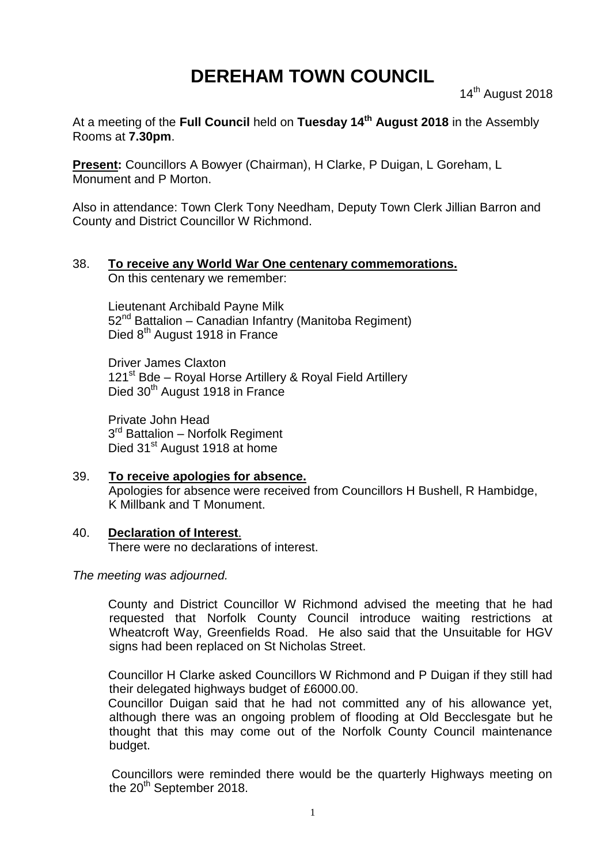# **DEREHAM TOWN COUNCIL**

14<sup>th</sup> August 2018

At a meeting of the **Full Council** held on **Tuesday 14th August 2018** in the Assembly Rooms at **7.30pm**.

**Present:** Councillors A Bowyer (Chairman), H Clarke, P Duigan, L Goreham, L Monument and P Morton.

Also in attendance: Town Clerk Tony Needham, Deputy Town Clerk Jillian Barron and County and District Councillor W Richmond.

#### 38. **To receive any World War One centenary commemorations.** On this centenary we remember:

Lieutenant Archibald Payne Milk 52nd Battalion – Canadian Infantry (Manitoba Regiment) Died 8<sup>th</sup> August 1918 in France

Driver James Claxton 121<sup>st</sup> Bde – Royal Horse Artillery & Royal Field Artillery Died 30<sup>th</sup> August 1918 in France

Private John Head 3<sup>rd</sup> Battalion – Norfolk Regiment Died 31<sup>st</sup> August 1918 at home

39. **To receive apologies for absence.** Apologies for absence were received from Councillors H Bushell, R Hambidge, K Millbank and T Monument.

## 40. **Declaration of Interest**.

There were no declarations of interest.

*The meeting was adjourned.*

County and District Councillor W Richmond advised the meeting that he had requested that Norfolk County Council introduce waiting restrictions at Wheatcroft Way, Greenfields Road. He also said that the Unsuitable for HGV signs had been replaced on St Nicholas Street.

Councillor H Clarke asked Councillors W Richmond and P Duigan if they still had their delegated highways budget of £6000.00.

Councillor Duigan said that he had not committed any of his allowance yet, although there was an ongoing problem of flooding at Old Becclesgate but he thought that this may come out of the Norfolk County Council maintenance budget.

Councillors were reminded there would be the quarterly Highways meeting on the  $20^{th}$  September 2018.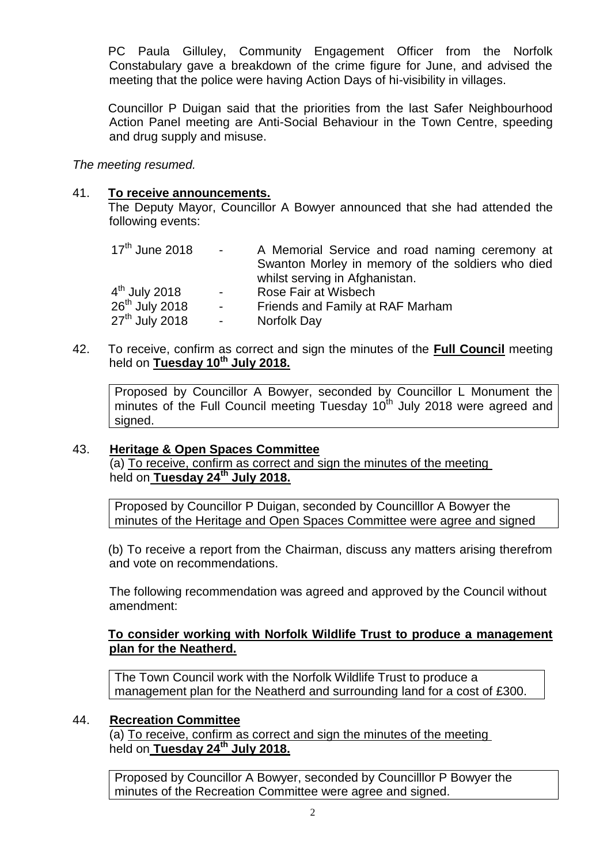PC Paula Gilluley, Community Engagement Officer from the Norfolk Constabulary gave a breakdown of the crime figure for June, and advised the meeting that the police were having Action Days of hi-visibility in villages.

Councillor P Duigan said that the priorities from the last Safer Neighbourhood Action Panel meeting are Anti-Social Behaviour in the Town Centre, speeding and drug supply and misuse.

*The meeting resumed.*

### 41. **To receive announcements.**

The Deputy Mayor, Councillor A Bowyer announced that she had attended the following events:

| $17th$ June 2018          | $\sim 100$     | A Memorial Service and road naming ceremony at    |
|---------------------------|----------------|---------------------------------------------------|
|                           |                | Swanton Morley in memory of the soldiers who died |
|                           |                | whilst serving in Afghanistan.                    |
| 4 <sup>th</sup> July 2018 | $\blacksquare$ | Rose Fair at Wisbech                              |
| $26th$ July 2018          | $\sim 100$     | Friends and Family at RAF Marham                  |
| $27th$ July 2018          | $\sim$         | Norfolk Day                                       |

42. To receive, confirm as correct and sign the minutes of the **Full Council** meeting held on **Tuesday 10th July 2018.**

Proposed by Councillor A Bowyer, seconded by Councillor L Monument the minutes of the Full Council meeting Tuesday 10<sup>th</sup> July 2018 were agreed and signed.

#### 43. **Heritage & Open Spaces Committee**

(a) To receive, confirm as correct and sign the minutes of the meeting held on **Tuesday 24th July 2018.**

Proposed by Councillor P Duigan, seconded by Councilllor A Bowyer the minutes of the Heritage and Open Spaces Committee were agree and signed

(b) To receive a report from the Chairman, discuss any matters arising therefrom and vote on recommendations.

The following recommendation was agreed and approved by the Council without amendment:

#### **To consider working with Norfolk Wildlife Trust to produce a management plan for the Neatherd.**

The Town Council work with the Norfolk Wildlife Trust to produce a management plan for the Neatherd and surrounding land for a cost of £300.

#### 44. **Recreation Committee**

(a) To receive, confirm as correct and sign the minutes of the meeting held on **Tuesday 24th July 2018.**

Proposed by Councillor A Bowyer, seconded by Councilllor P Bowyer the minutes of the Recreation Committee were agree and signed.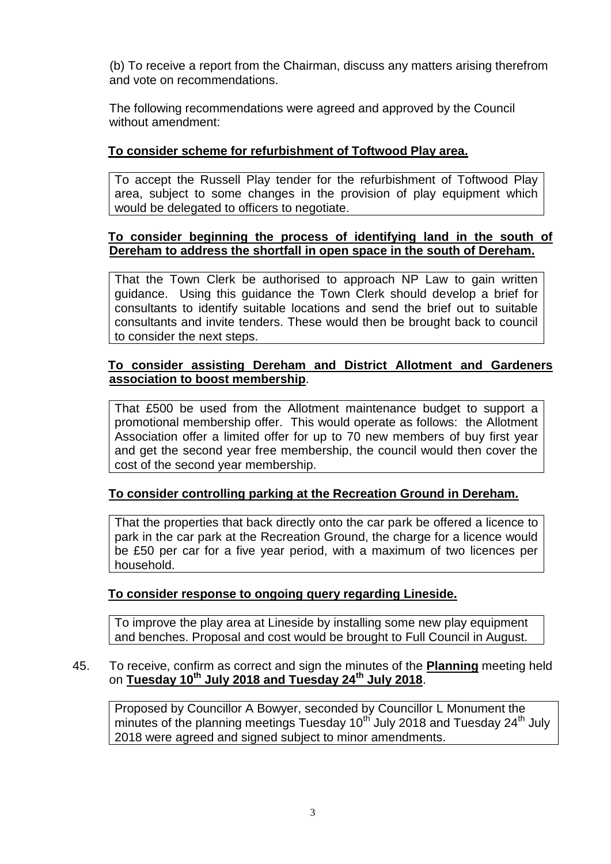(b) To receive a report from the Chairman, discuss any matters arising therefrom and vote on recommendations.

The following recommendations were agreed and approved by the Council without amendment:

# **To consider scheme for refurbishment of Toftwood Play area.**

To accept the Russell Play tender for the refurbishment of Toftwood Play area, subject to some changes in the provision of play equipment which would be delegated to officers to negotiate.

# **To consider beginning the process of identifying land in the south of Dereham to address the shortfall in open space in the south of Dereham.**

That the Town Clerk be authorised to approach NP Law to gain written guidance. Using this guidance the Town Clerk should develop a brief for consultants to identify suitable locations and send the brief out to suitable consultants and invite tenders. These would then be brought back to council to consider the next steps.

# **To consider assisting Dereham and District Allotment and Gardeners association to boost membership**.

That £500 be used from the Allotment maintenance budget to support a promotional membership offer. This would operate as follows: the Allotment Association offer a limited offer for up to 70 new members of buy first year and get the second year free membership, the council would then cover the cost of the second year membership.

# **To consider controlling parking at the Recreation Ground in Dereham.**

That the properties that back directly onto the car park be offered a licence to park in the car park at the Recreation Ground, the charge for a licence would be £50 per car for a five year period, with a maximum of two licences per household.

## **To consider response to ongoing query regarding Lineside.**

To improve the play area at Lineside by installing some new play equipment and benches. Proposal and cost would be brought to Full Council in August.

#### 45. To receive, confirm as correct and sign the minutes of the **Planning** meeting held on **Tuesday 10th July 2018 and Tuesday 24th July 2018**.

Proposed by Councillor A Bowyer, seconded by Councillor L Monument the minutes of the planning meetings Tuesday  $10<sup>th</sup>$  July 2018 and Tuesday 24<sup>th</sup> July 2018 were agreed and signed subject to minor amendments.